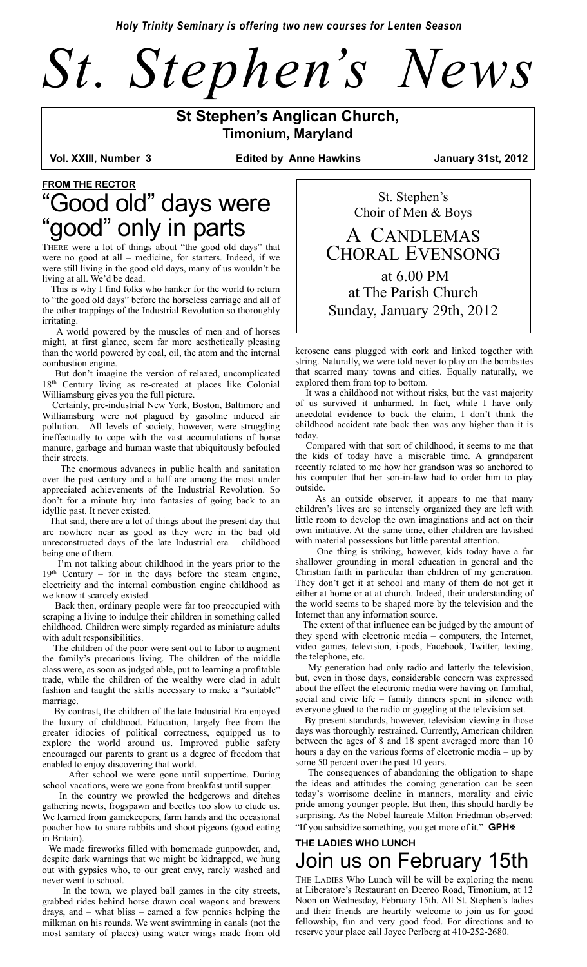*Holy Trinity Seminary is offering two new courses for Lenten Season*



# **St Stephen's Anglican Church, Timonium, Maryland<br>Vol. XXIII, Number 3** Edited by Anne Hawkin

Edited by Anne Hawkins **January 31st, 2012** 

## **FROM THE RECTOR** "Good old" days were "good" only in parts

THERE were a lot of things about "the good old days" that were no good at all – medicine, for starters. Indeed, if we were still living in the good old days, many of us wouldn't be living at all. We'd be dead.

 This is why I find folks who hanker for the world to return to "the good old days" before the horseless carriage and all of the other trappings of the Industrial Revolution so thoroughly irritating.

 A world powered by the muscles of men and of horses might, at first glance, seem far more aesthetically pleasing than the world powered by coal, oil, the atom and the internal combustion engine.

 But don't imagine the version of relaxed, uncomplicated 18th Century living as re-created at places like Colonial Williamsburg gives you the full picture.

 Certainly, pre-industrial New York, Boston, Baltimore and Williamsburg were not plagued by gasoline induced air pollution. All levels of society, however, were struggling ineffectually to cope with the vast accumulations of horse manure, garbage and human waste that ubiquitously befouled their streets.

 The enormous advances in public health and sanitation over the past century and a half are among the most under appreciated achievements of the Industrial Revolution. So don't for a minute buy into fantasies of going back to an idyllic past. It never existed.

 That said, there are a lot of things about the present day that are nowhere near as good as they were in the bad old unreconstructed days of the late Industrial era – childhood being one of them.

 I'm not talking about childhood in the years prior to the 19th Century – for in the days before the steam engine, electricity and the internal combustion engine childhood as we know it scarcely existed.

 Back then, ordinary people were far too preoccupied with scraping a living to indulge their children in something called childhood. Children were simply regarded as miniature adults with adult responsibilities.

 The children of the poor were sent out to labor to augment the family's precarious living. The children of the middle class were, as soon as judged able, put to learning a profitable trade, while the children of the wealthy were clad in adult fashion and taught the skills necessary to make a "suitable" marriage.

 By contrast, the children of the late Industrial Era enjoyed the luxury of childhood. Education, largely free from the greater idiocies of political correctness, equipped us to explore the world around us. Improved public safety encouraged our parents to grant us a degree of freedom that enabled to enjoy discovering that world.

 After school we were gone until suppertime. During school vacations, were we gone from breakfast until supper.

 In the country we prowled the hedgerows and ditches gathering newts, frogspawn and beetles too slow to elude us. We learned from gamekeepers, farm hands and the occasional poacher how to snare rabbits and shoot pigeons (good eating in Britain).

 We made fireworks filled with homemade gunpowder, and, despite dark warnings that we might be kidnapped, we hung out with gypsies who, to our great envy, rarely washed and never went to school.

 In the town, we played ball games in the city streets, grabbed rides behind horse drawn coal wagons and brewers drays, and – what bliss – earned a few pennies helping the milkman on his rounds. We went swimming in canals (not the most sanitary of places) using water wings made from old

St. Stephen's Choir of Men & Boys A CANDLEMAS CHORAL EVENSONG

 at 6.00 PM at The Parish Church Sunday, January 29th, 2012

kerosene cans plugged with cork and linked together with string. Naturally, we were told never to play on the bombsites that scarred many towns and cities. Equally naturally, we explored them from top to bottom.

 It was a childhood not without risks, but the vast majority of us survived it unharmed. In fact, while I have only anecdotal evidence to back the claim, I don't think the childhood accident rate back then was any higher than it is today.

 Compared with that sort of childhood, it seems to me that the kids of today have a miserable time. A grandparent recently related to me how her grandson was so anchored to his computer that her son-in-law had to order him to play outside.

 As an outside observer, it appears to me that many children's lives are so intensely organized they are left with little room to develop the own imaginations and act on their own initiative. At the same time, other children are lavished with material possessions but little parental attention.

 One thing is striking, however, kids today have a far shallower grounding in moral education in general and the Christian faith in particular than children of my generation. They don't get it at school and many of them do not get it either at home or at at church. Indeed, their understanding of the world seems to be shaped more by the television and the Internet than any information source.

 The extent of that influence can be judged by the amount of they spend with electronic media – computers, the Internet, video games, television, i-pods, Facebook, Twitter, texting, the telephone, etc.

 My generation had only radio and latterly the television, but, even in those days, considerable concern was expressed about the effect the electronic media were having on familial, social and civic life – family dinners spent in silence with everyone glued to the radio or goggling at the television set.

 By present standards, however, television viewing in those days was thoroughly restrained. Currently, American children between the ages of 8 and 18 spent averaged more than 10 hours a day on the various forms of electronic media – up by some 50 percent over the past 10 years.

 The consequences of abandoning the obligation to shape the ideas and attitudes the coming generation can be seen today's worrisome decline in manners, morality and civic pride among younger people. But then, this should hardly be surprising. As the Nobel laureate Milton Friedman observed: "If you subsidize something, you get more of it." **GPH**

### **THE LADIES WHO LUNCH** Join us on February 15th

THE LADIES Who Lunch will be will be exploring the menu at Liberatore's Restaurant on Deerco Road, Timonium, at 12 Noon on Wednesday, February 15th. All St. Stephen's ladies and their friends are heartily welcome to join us for good fellowship, fun and very good food. For directions and to reserve your place call Joyce Perlberg at 410-252-2680.